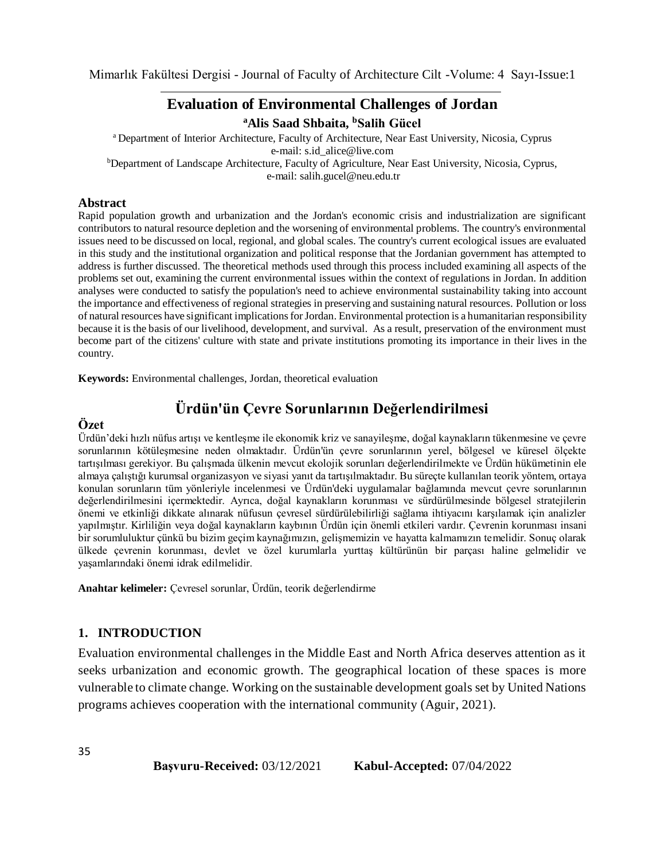## **Evaluation of Environmental Challenges of Jordan**

**<sup>a</sup>Alis Saad Shbaita, <sup>b</sup>Salih Gücel**

<sup>a</sup> Department of Interior Architecture, Faculty of Architecture, Near East University, Nicosia, Cyprus e-mail: [s.id\\_alice@live.com](mailto:s.id_alice@live.com) <sup>b</sup>Department of Landscape Architecture, Faculty of Agriculture, Near East University, Nicosia, Cyprus, e-mail: salih.gucel@neu.edu.tr

#### **Abstract**

Rapid population growth and urbanization and the Jordan's economic crisis and industrialization are significant contributors to natural resource depletion and the worsening of environmental problems. The country's environmental issues need to be discussed on local, regional, and global scales. The country's current ecological issues are evaluated in this study and the institutional organization and political response that the Jordanian government has attempted to address is further discussed. The theoretical methods used through this process included examining all aspects of the problems set out, examining the current environmental issues within the context of regulations in Jordan. In addition analyses were conducted to satisfy the population's need to achieve environmental sustainability taking into account the importance and effectiveness of regional strategies in preserving and sustaining natural resources. Pollution or loss of natural resources have significant implications for Jordan. Environmental protection is a humanitarian responsibility because it is the basis of our livelihood, development, and survival. As a result, preservation of the environment must become part of the citizens' culture with state and private institutions promoting its importance in their lives in the country.

**Keywords:** Environmental challenges, Jordan, theoretical evaluation

# **Ürdün'ün Çevre Sorunlarının Değerlendirilmesi**

### **Özet**

35

Ürdün'deki hızlı nüfus artışı ve kentleşme ile ekonomik kriz ve sanayileşme, doğal kaynakların tükenmesine ve çevre sorunlarının kötüleşmesine neden olmaktadır. Ürdün'ün çevre sorunlarının yerel, bölgesel ve küresel ölçekte tartışılması gerekiyor. Bu çalışmada ülkenin mevcut ekolojik sorunları değerlendirilmekte ve Ürdün hükümetinin ele almaya çalıştığı kurumsal organizasyon ve siyasi yanıt da tartışılmaktadır. Bu süreçte kullanılan teorik yöntem, ortaya konulan sorunların tüm yönleriyle incelenmesi ve Ürdün'deki uygulamalar bağlamında mevcut çevre sorunlarının değerlendirilmesini içermektedir. Ayrıca, doğal kaynakların korunması ve sürdürülmesinde bölgesel stratejilerin önemi ve etkinliği dikkate alınarak nüfusun çevresel sürdürülebilirliği sağlama ihtiyacını karşılamak için analizler yapılmıştır. Kirliliğin veya doğal kaynakların kaybının Ürdün için önemli etkileri vardır. Çevrenin korunması insani bir sorumluluktur çünkü bu bizim geçim kaynağımızın, gelişmemizin ve hayatta kalmamızın temelidir. Sonuç olarak ülkede çevrenin korunması, devlet ve özel kurumlarla yurttaş kültürünün bir parçası haline gelmelidir ve yaşamlarındaki önemi idrak edilmelidir.

**Anahtar kelimeler:** Çevresel sorunlar, Ürdün, teorik değerlendirme

### **1. INTRODUCTION**

Evaluation environmental challenges in the Middle East and North Africa deserves attention as it seeks urbanization and economic growth. The geographical location of these spaces is more vulnerable to climate change. Working on the sustainable development goals set by United Nations programs achieves cooperation with the international community (Aguir, 2021).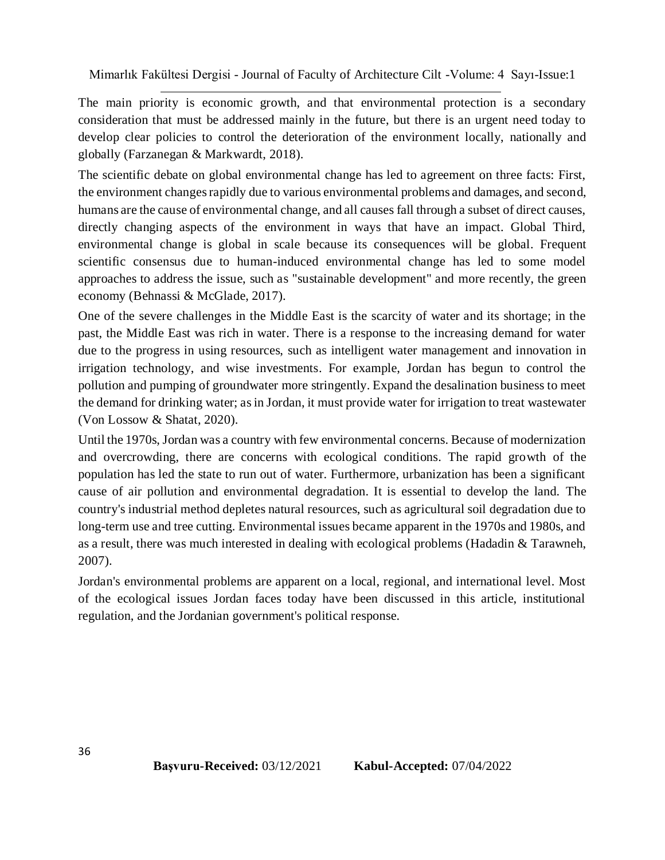The main priority is economic growth, and that environmental protection is a secondary consideration that must be addressed mainly in the future, but there is an urgent need today to develop clear policies to control the deterioration of the environment locally, nationally and globally (Farzanegan & Markwardt, 2018).

The scientific debate on global environmental change has led to agreement on three facts: First, the environment changes rapidly due to various environmental problems and damages, and second, humans are the cause of environmental change, and all causes fall through a subset of direct causes, directly changing aspects of the environment in ways that have an impact. Global Third, environmental change is global in scale because its consequences will be global. Frequent scientific consensus due to human-induced environmental change has led to some model approaches to address the issue, such as "sustainable development" and more recently, the green economy (Behnassi & McGlade, 2017).

One of the severe challenges in the Middle East is the scarcity of water and its shortage; in the past, the Middle East was rich in water. There is a response to the increasing demand for water due to the progress in using resources, such as intelligent water management and innovation in irrigation technology, and wise investments. For example, Jordan has begun to control the pollution and pumping of groundwater more stringently. Expand the desalination business to meet the demand for drinking water; as in Jordan, it must provide water for irrigation to treat wastewater (Von Lossow & Shatat, 2020).

Until the 1970s, Jordan was a country with few environmental concerns. Because of modernization and overcrowding, there are concerns with ecological conditions. The rapid growth of the population has led the state to run out of water. Furthermore, urbanization has been a significant cause of air pollution and environmental degradation. It is essential to develop the land. The country's industrial method depletes natural resources, such as agricultural soil degradation due to long-term use and tree cutting. Environmental issues became apparent in the 1970s and 1980s, and as a result, there was much interested in dealing with ecological problems (Hadadin & Tarawneh, 2007).

Jordan's environmental problems are apparent on a local, regional, and international level. Most of the ecological issues Jordan faces today have been discussed in this article, institutional regulation, and the Jordanian government's political response.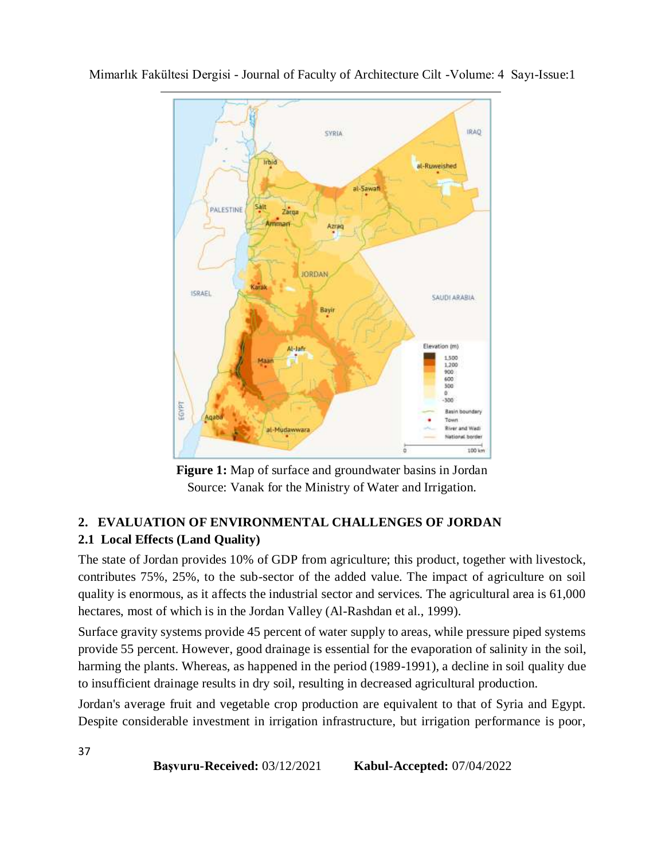

**Figure 1:** Map of surface and groundwater basins in Jordan Source: Vanak for the Ministry of Water and Irrigation.

## **2. EVALUATION OF ENVIRONMENTAL CHALLENGES OF JORDAN 2.1 Local Effects (Land Quality)**

The state of Jordan provides 10% of GDP from agriculture; this product, together with livestock, contributes 75%, 25%, to the sub-sector of the added value. The impact of agriculture on soil quality is enormous, as it affects the industrial sector and services. The agricultural area is 61,000 hectares, most of which is in the Jordan Valley (Al-Rashdan et al., 1999).

Surface gravity systems provide 45 percent of water supply to areas, while pressure piped systems provide 55 percent. However, good drainage is essential for the evaporation of salinity in the soil, harming the plants. Whereas, as happened in the period (1989-1991), a decline in soil quality due to insufficient drainage results in dry soil, resulting in decreased agricultural production.

Jordan's average fruit and vegetable crop production are equivalent to that of Syria and Egypt. Despite considerable investment in irrigation infrastructure, but irrigation performance is poor,

**Başvuru-Received:** 03/12/2021 **Kabul-Accepted:** 07/04/2022

37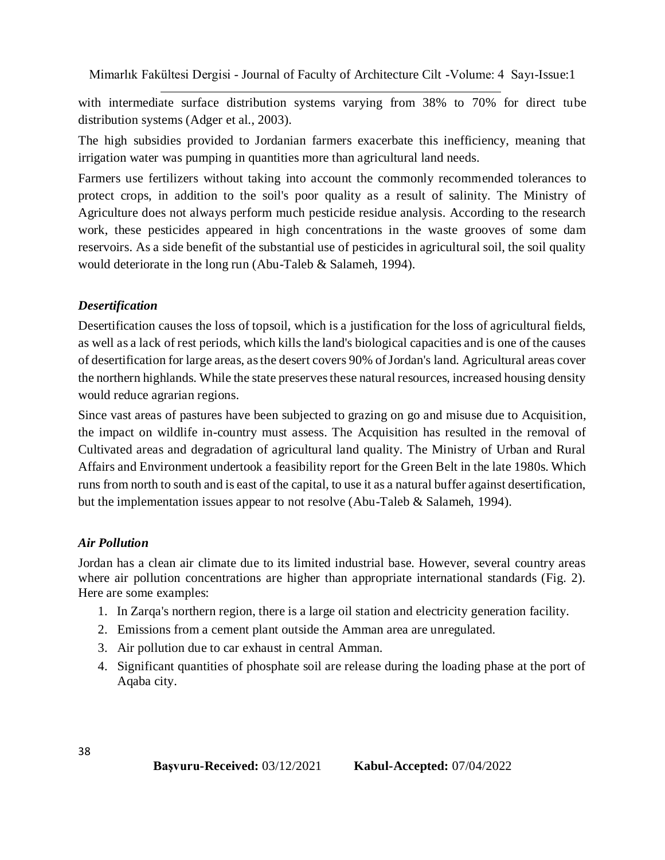with intermediate surface distribution systems varying from 38% to 70% for direct tube distribution systems (Adger et al., 2003).

The high subsidies provided to Jordanian farmers exacerbate this inefficiency, meaning that irrigation water was pumping in quantities more than agricultural land needs.

Farmers use fertilizers without taking into account the commonly recommended tolerances to protect crops, in addition to the soil's poor quality as a result of salinity. The Ministry of Agriculture does not always perform much pesticide residue analysis. According to the research work, these pesticides appeared in high concentrations in the waste grooves of some dam reservoirs. As a side benefit of the substantial use of pesticides in agricultural soil, the soil quality would deteriorate in the long run (Abu-Taleb & Salameh, 1994).

#### *Desertification*

Desertification causes the loss of topsoil, which is a justification for the loss of agricultural fields, as well as a lack of rest periods, which kills the land's biological capacities and is one of the causes of desertification for large areas, as the desert covers 90% of Jordan's land. Agricultural areas cover the northern highlands. While the state preserves these natural resources, increased housing density would reduce agrarian regions.

Since vast areas of pastures have been subjected to grazing on go and misuse due to Acquisition, the impact on wildlife in-country must assess. The Acquisition has resulted in the removal of Cultivated areas and degradation of agricultural land quality. The Ministry of Urban and Rural Affairs and Environment undertook a feasibility report for the Green Belt in the late 1980s. Which runs from north to south and is east of the capital, to use it as a natural buffer against desertification, but the implementation issues appear to not resolve (Abu-Taleb & Salameh, 1994).

#### *Air Pollution*

Jordan has a clean air climate due to its limited industrial base. However, several country areas where air pollution concentrations are higher than appropriate international standards (Fig. 2). Here are some examples:

- 1. In Zarqa's northern region, there is a large oil station and electricity generation facility.
- 2. Emissions from a cement plant outside the Amman area are unregulated.
- 3. Air pollution due to car exhaust in central Amman.
- 4. Significant quantities of phosphate soil are release during the loading phase at the port of Aqaba city.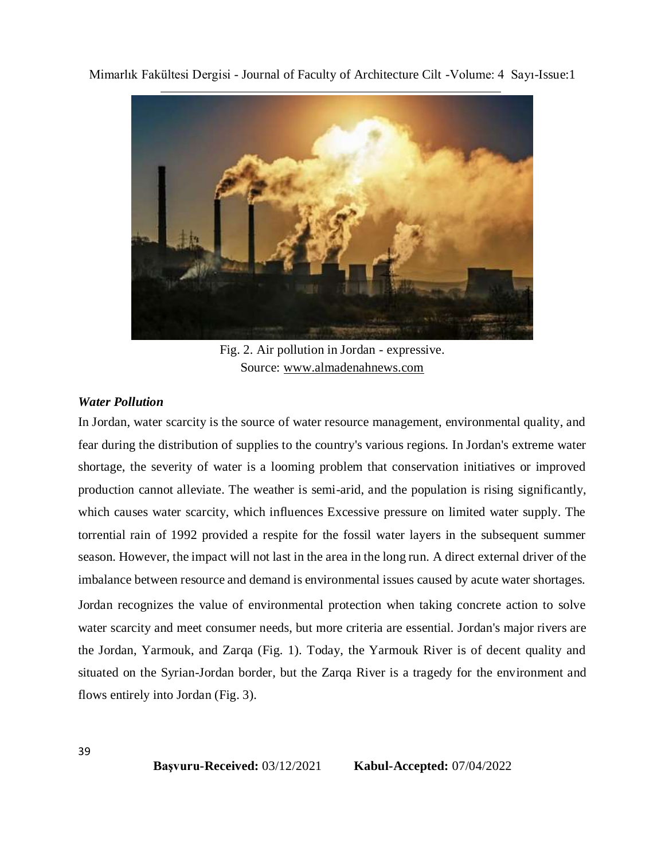

Fig. 2. Air pollution in Jordan - expressive. Source: www.almadenahnews.com

#### *Water Pollution*

In Jordan, water scarcity is the source of water resource management, environmental quality, and fear during the distribution of supplies to the country's various regions. In Jordan's extreme water shortage, the severity of water is a looming problem that conservation initiatives or improved production cannot alleviate. The weather is semi-arid, and the population is rising significantly, which causes water scarcity, which influences Excessive pressure on limited water supply. The torrential rain of 1992 provided a respite for the fossil water layers in the subsequent summer season. However, the impact will not last in the area in the long run. A direct external driver of the imbalance between resource and demand is environmental issues caused by acute water shortages. Jordan recognizes the value of environmental protection when taking concrete action to solve water scarcity and meet consumer needs, but more criteria are essential. Jordan's major rivers are the Jordan, Yarmouk, and Zarqa (Fig. 1). Today, the Yarmouk River is of decent quality and situated on the Syrian-Jordan border, but the Zarqa River is a tragedy for the environment and flows entirely into Jordan (Fig. 3).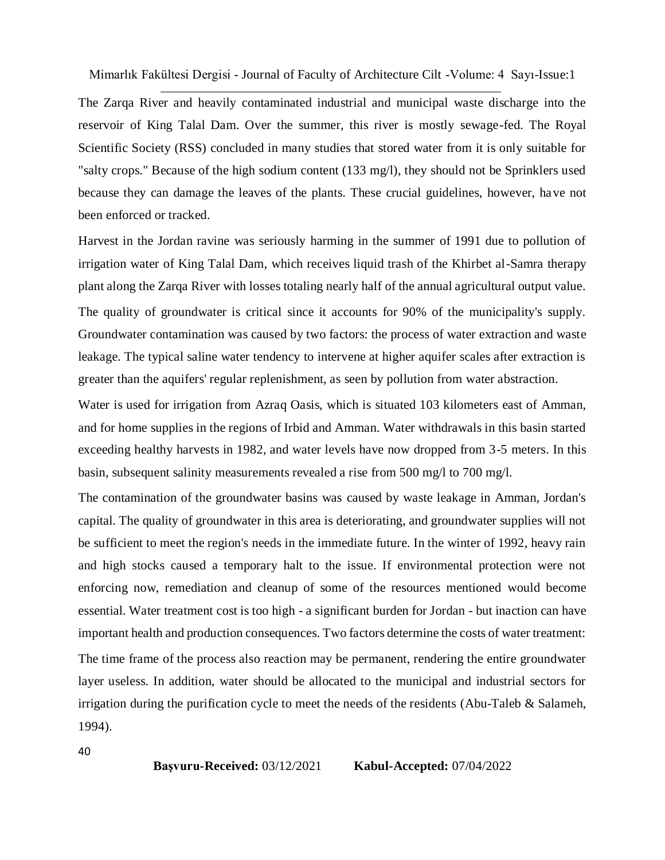The Zarqa River and heavily contaminated industrial and municipal waste discharge into the reservoir of King Talal Dam. Over the summer, this river is mostly sewage-fed. The Royal Scientific Society (RSS) concluded in many studies that stored water from it is only suitable for "salty crops." Because of the high sodium content (133 mg/l), they should not be Sprinklers used because they can damage the leaves of the plants. These crucial guidelines, however, have not been enforced or tracked.

Harvest in the Jordan ravine was seriously harming in the summer of 1991 due to pollution of irrigation water of King Talal Dam, which receives liquid trash of the Khirbet al-Samra therapy plant along the Zarqa River with losses totaling nearly half of the annual agricultural output value. The quality of groundwater is critical since it accounts for 90% of the municipality's supply. Groundwater contamination was caused by two factors: the process of water extraction and waste leakage. The typical saline water tendency to intervene at higher aquifer scales after extraction is greater than the aquifers' regular replenishment, as seen by pollution from water abstraction.

Water is used for irrigation from Azraq Oasis, which is situated 103 kilometers east of Amman, and for home supplies in the regions of Irbid and Amman. Water withdrawals in this basin started exceeding healthy harvests in 1982, and water levels have now dropped from 3-5 meters. In this basin, subsequent salinity measurements revealed a rise from 500 mg/l to 700 mg/l.

The contamination of the groundwater basins was caused by waste leakage in Amman, Jordan's capital. The quality of groundwater in this area is deteriorating, and groundwater supplies will not be sufficient to meet the region's needs in the immediate future. In the winter of 1992, heavy rain and high stocks caused a temporary halt to the issue. If environmental protection were not enforcing now, remediation and cleanup of some of the resources mentioned would become essential. Water treatment cost is too high - a significant burden for Jordan - but inaction can have important health and production consequences. Two factors determine the costs of water treatment: The time frame of the process also reaction may be permanent, rendering the entire groundwater layer useless. In addition, water should be allocated to the municipal and industrial sectors for irrigation during the purification cycle to meet the needs of the residents (Abu-Taleb & Salameh, 1994).

40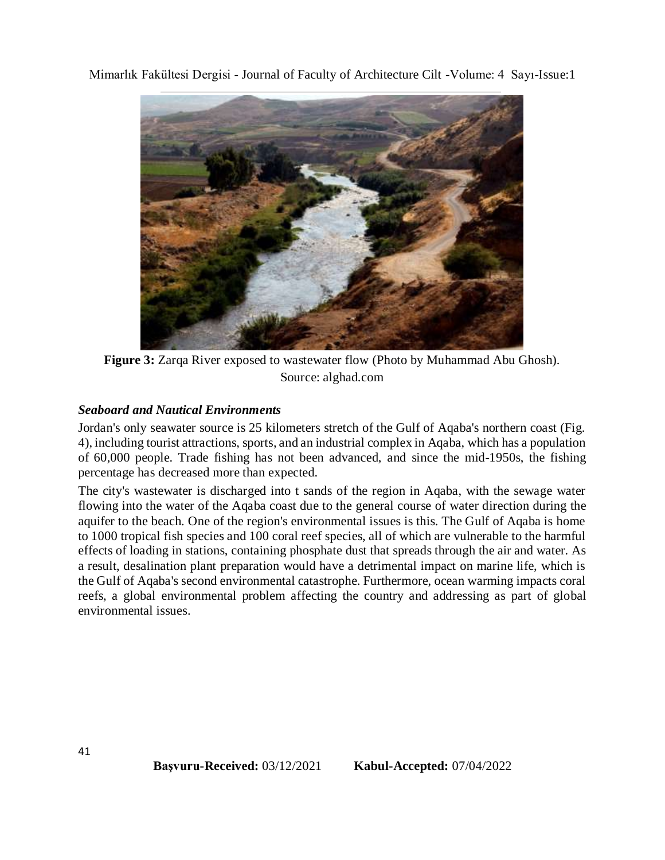

**Figure 3:** Zarqa River exposed to wastewater flow (Photo by Muhammad Abu Ghosh). Source: alghad.com

### *Seaboard and Nautical Environments*

Jordan's only seawater source is 25 kilometers stretch of the Gulf of Aqaba's northern coast (Fig. 4), including tourist attractions, sports, and an industrial complex in Aqaba, which has a population of 60,000 people. Trade fishing has not been advanced, and since the mid-1950s, the fishing percentage has decreased more than expected.

The city's wastewater is discharged into t sands of the region in Aqaba, with the sewage water flowing into the water of the Aqaba coast due to the general course of water direction during the aquifer to the beach. One of the region's environmental issues is this. The Gulf of Aqaba is home to 1000 tropical fish species and 100 coral reef species, all of which are vulnerable to the harmful effects of loading in stations, containing phosphate dust that spreads through the air and water. As a result, desalination plant preparation would have a detrimental impact on marine life, which is the Gulf of Aqaba's second environmental catastrophe. Furthermore, ocean warming impacts coral reefs, a global environmental problem affecting the country and addressing as part of global environmental issues.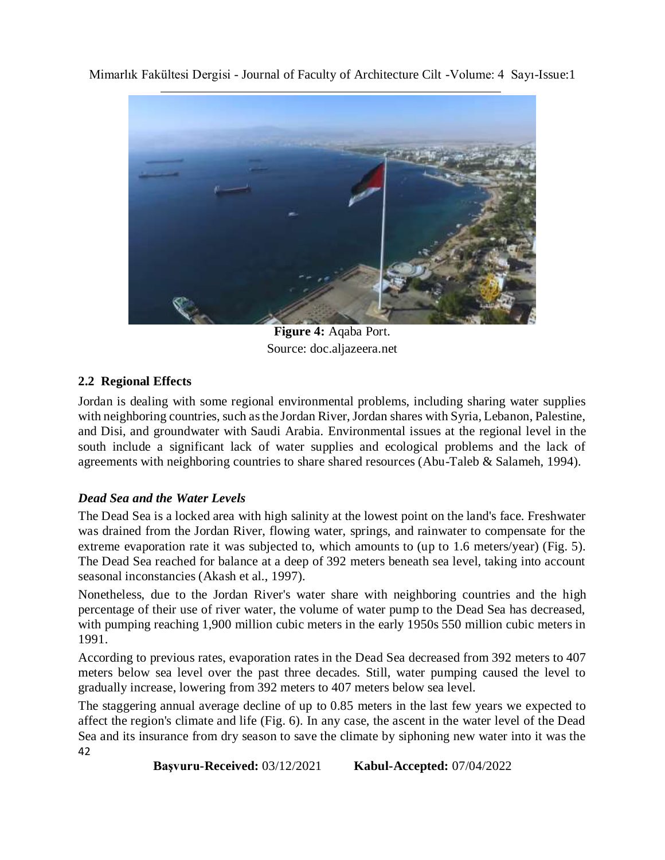

**Figure 4:** Aqaba Port. Source: doc.aljazeera.net

## **2.2 Regional Effects**

Jordan is dealing with some regional environmental problems, including sharing water supplies with neighboring countries, such as the Jordan River, Jordan shares with Syria, Lebanon, Palestine, and Disi, and groundwater with Saudi Arabia. Environmental issues at the regional level in the south include a significant lack of water supplies and ecological problems and the lack of agreements with neighboring countries to share shared resources (Abu-Taleb & Salameh, 1994).

### *Dead Sea and the Water Levels*

The Dead Sea is a locked area with high salinity at the lowest point on the land's face. Freshwater was drained from the Jordan River, flowing water, springs, and rainwater to compensate for the extreme evaporation rate it was subjected to, which amounts to (up to 1.6 meters/year) (Fig. 5). The Dead Sea reached for balance at a deep of 392 meters beneath sea level, taking into account seasonal inconstancies (Akash et al., 1997).

Nonetheless, due to the Jordan River's water share with neighboring countries and the high percentage of their use of river water, the volume of water pump to the Dead Sea has decreased, with pumping reaching 1,900 million cubic meters in the early 1950s 550 million cubic meters in 1991.

According to previous rates, evaporation rates in the Dead Sea decreased from 392 meters to 407 meters below sea level over the past three decades. Still, water pumping caused the level to gradually increase, lowering from 392 meters to 407 meters below sea level.

42 The staggering annual average decline of up to 0.85 meters in the last few years we expected to affect the region's climate and life (Fig. 6). In any case, the ascent in the water level of the Dead Sea and its insurance from dry season to save the climate by siphoning new water into it was the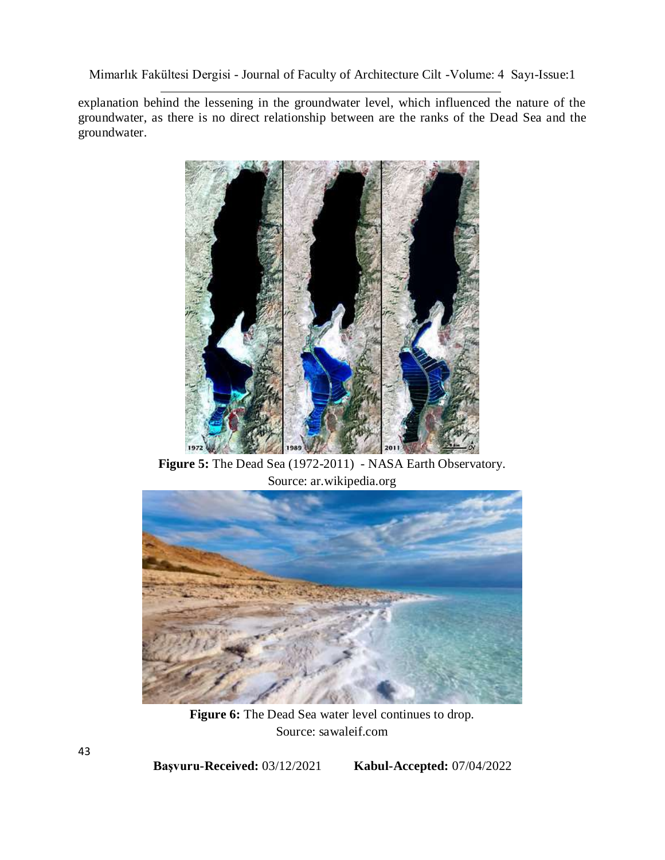explanation behind the lessening in the groundwater level, which influenced the nature of the groundwater, as there is no direct relationship between are the ranks of the Dead Sea and the groundwater.



**Figure 5:** The Dead Sea (1972-2011) - NASA Earth Observatory. Source: ar.wikipedia.org



Figure 6: The Dead Sea water level continues to drop. Source: sawaleif.com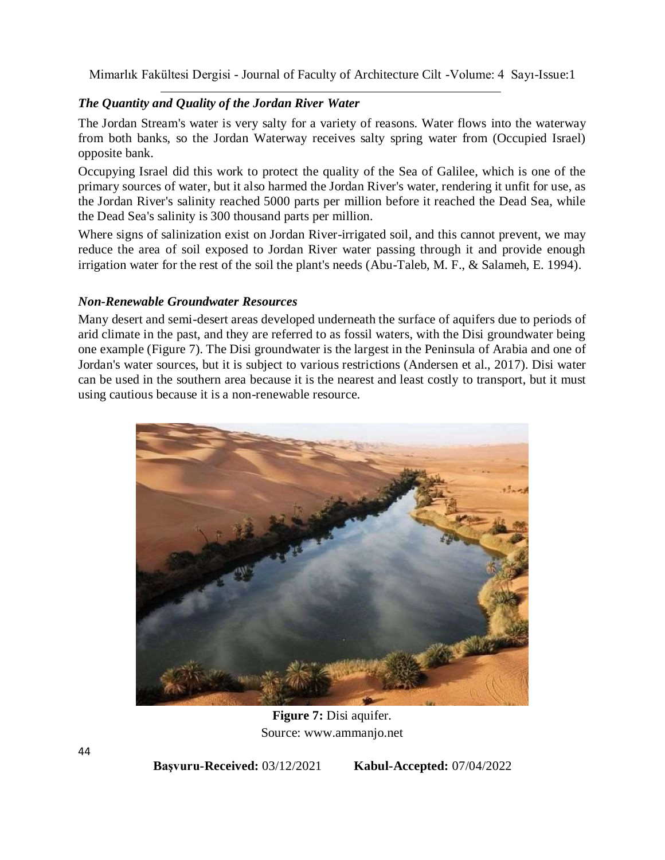## *The Quantity and Quality of the Jordan River Water*

The Jordan Stream's water is very salty for a variety of reasons. Water flows into the waterway from both banks, so the Jordan Waterway receives salty spring water from (Occupied Israel) opposite bank.

Occupying Israel did this work to protect the quality of the Sea of Galilee, which is one of the primary sources of water, but it also harmed the Jordan River's water, rendering it unfit for use, as the Jordan River's salinity reached 5000 parts per million before it reached the Dead Sea, while the Dead Sea's salinity is 300 thousand parts per million.

Where signs of salinization exist on Jordan River-irrigated soil, and this cannot prevent, we may reduce the area of soil exposed to Jordan River water passing through it and provide enough irrigation water for the rest of the soil the plant's needs (Abu-Taleb, M. F., & Salameh, E. 1994).

### *Non-Renewable Groundwater Resources*

Many desert and semi-desert areas developed underneath the surface of aquifers due to periods of arid climate in the past, and they are referred to as fossil waters, with the Disi groundwater being one example (Figure 7). The Disi groundwater is the largest in the Peninsula of Arabia and one of Jordan's water sources, but it is subject to various restrictions (Andersen et al., 2017). Disi water can be used in the southern area because it is the nearest and least costly to transport, but it must using cautious because it is a non-renewable resource.



**Figure 7:** Disi aquifer. Source: www.ammanjo.net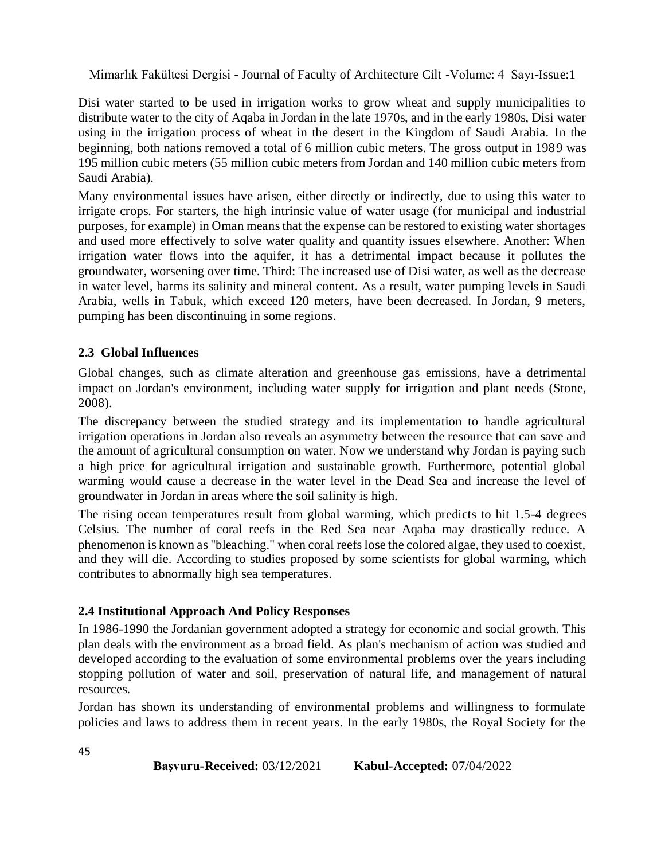Disi water started to be used in irrigation works to grow wheat and supply municipalities to distribute water to the city of Aqaba in Jordan in the late 1970s, and in the early 1980s, Disi water using in the irrigation process of wheat in the desert in the Kingdom of Saudi Arabia. In the beginning, both nations removed a total of 6 million cubic meters. The gross output in 1989 was 195 million cubic meters (55 million cubic meters from Jordan and 140 million cubic meters from Saudi Arabia).

Many environmental issues have arisen, either directly or indirectly, due to using this water to irrigate crops. For starters, the high intrinsic value of water usage (for municipal and industrial purposes, for example) in Oman means that the expense can be restored to existing water shortages and used more effectively to solve water quality and quantity issues elsewhere. Another: When irrigation water flows into the aquifer, it has a detrimental impact because it pollutes the groundwater, worsening over time. Third: The increased use of Disi water, as well as the decrease in water level, harms its salinity and mineral content. As a result, water pumping levels in Saudi Arabia, wells in Tabuk, which exceed 120 meters, have been decreased. In Jordan, 9 meters, pumping has been discontinuing in some regions.

### **2.3 Global Influences**

Global changes, such as climate alteration and greenhouse gas emissions, have a detrimental impact on Jordan's environment, including water supply for irrigation and plant needs (Stone, 2008).

The discrepancy between the studied strategy and its implementation to handle agricultural irrigation operations in Jordan also reveals an asymmetry between the resource that can save and the amount of agricultural consumption on water. Now we understand why Jordan is paying such a high price for agricultural irrigation and sustainable growth. Furthermore, potential global warming would cause a decrease in the water level in the Dead Sea and increase the level of groundwater in Jordan in areas where the soil salinity is high.

The rising ocean temperatures result from global warming, which predicts to hit 1.5-4 degrees Celsius. The number of coral reefs in the Red Sea near Aqaba may drastically reduce. A phenomenon is known as "bleaching." when coral reefs lose the colored algae, they used to coexist, and they will die. According to studies proposed by some scientists for global warming, which contributes to abnormally high sea temperatures.

### **2.4 Institutional Approach And Policy Responses**

In 1986-1990 the Jordanian government adopted a strategy for economic and social growth. This plan deals with the environment as a broad field. As plan's mechanism of action was studied and developed according to the evaluation of some environmental problems over the years including stopping pollution of water and soil, preservation of natural life, and management of natural resources.

Jordan has shown its understanding of environmental problems and willingness to formulate policies and laws to address them in recent years. In the early 1980s, the Royal Society for the

45

| <b>Başvuru-Received:</b> 03/12/2021 | <b>Kabul-Accepted: 07/04/2022</b> |
|-------------------------------------|-----------------------------------|
|                                     |                                   |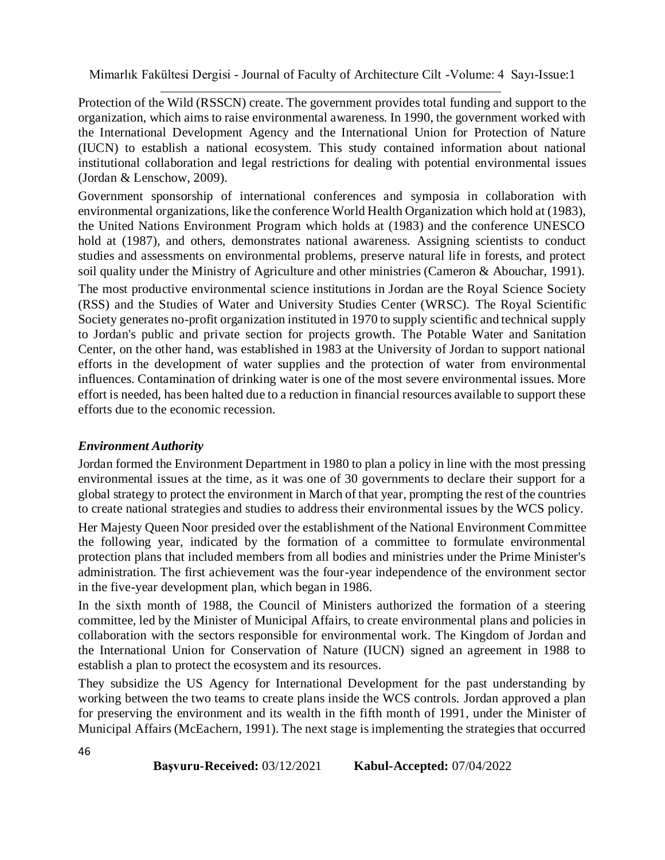Protection of the Wild (RSSCN) create. The government provides total funding and support to the organization, which aims to raise environmental awareness. In 1990, the government worked with the International Development Agency and the International Union for Protection of Nature (IUCN) to establish a national ecosystem. This study contained information about national institutional collaboration and legal restrictions for dealing with potential environmental issues (Jordan & Lenschow, 2009).

Government sponsorship of international conferences and symposia in collaboration with environmental organizations, like the conference World Health Organization which hold at (1983), the United Nations Environment Program which holds at (1983) and the conference UNESCO hold at (1987), and others, demonstrates national awareness. Assigning scientists to conduct studies and assessments on environmental problems, preserve natural life in forests, and protect soil quality under the Ministry of Agriculture and other ministries (Cameron & Abouchar, 1991). The most productive environmental science institutions in Jordan are the Royal Science Society (RSS) and the Studies of Water and University Studies Center (WRSC). The Royal Scientific Society generates no-profit organization instituted in 1970 to supply scientific and technical supply to Jordan's public and private section for projects growth. The Potable Water and Sanitation Center, on the other hand, was established in 1983 at the University of Jordan to support national efforts in the development of water supplies and the protection of water from environmental influences. Contamination of drinking water is one of the most severe environmental issues. More effort is needed, has been halted due to a reduction in financial resources available to support these efforts due to the economic recession.

#### *Environment Authority*

Jordan formed the Environment Department in 1980 to plan a policy in line with the most pressing environmental issues at the time, as it was one of 30 governments to declare their support for a global strategy to protect the environment in March of that year, prompting the rest of the countries to create national strategies and studies to address their environmental issues by the WCS policy.

Her Majesty Queen Noor presided over the establishment of the National Environment Committee the following year, indicated by the formation of a committee to formulate environmental protection plans that included members from all bodies and ministries under the Prime Minister's administration. The first achievement was the four-year independence of the environment sector in the five-year development plan, which began in 1986.

In the sixth month of 1988, the Council of Ministers authorized the formation of a steering committee, led by the Minister of Municipal Affairs, to create environmental plans and policies in collaboration with the sectors responsible for environmental work. The Kingdom of Jordan and the International Union for Conservation of Nature (IUCN) signed an agreement in 1988 to establish a plan to protect the ecosystem and its resources.

They subsidize the US Agency for International Development for the past understanding by working between the two teams to create plans inside the WCS controls. Jordan approved a plan for preserving the environment and its wealth in the fifth month of 1991, under the Minister of Municipal Affairs (McEachern, 1991). The next stage is implementing the strategies that occurred

```
Başvuru-Received: 03/12/2021 Kabul-Accepted: 07/04/2022
```

```
46
```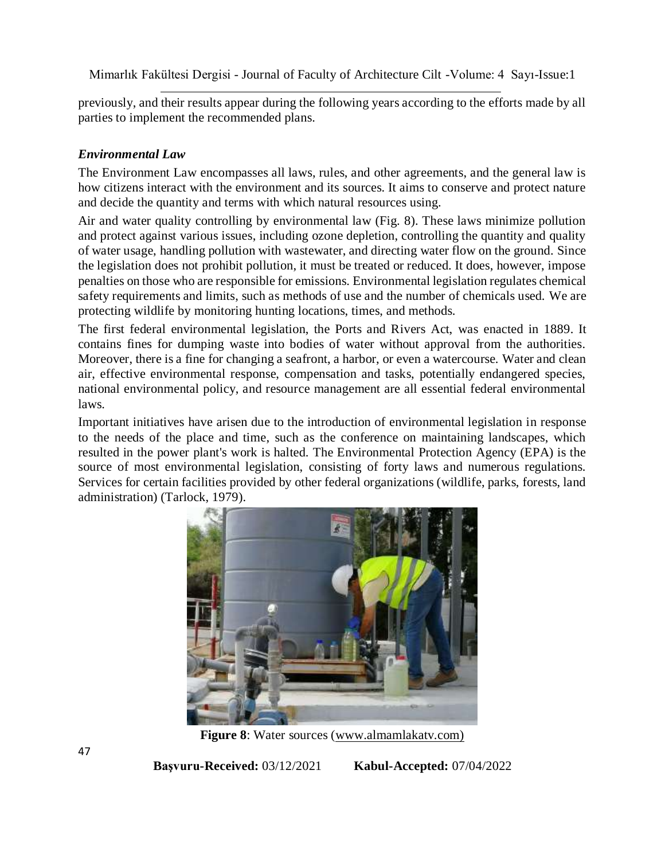previously, and their results appear during the following years according to the efforts made by all parties to implement the recommended plans.

### *Environmental Law*

The Environment Law encompasses all laws, rules, and other agreements, and the general law is how citizens interact with the environment and its sources. It aims to conserve and protect nature and decide the quantity and terms with which natural resources using.

Air and water quality controlling by environmental law (Fig. 8). These laws minimize pollution and protect against various issues, including ozone depletion, controlling the quantity and quality of water usage, handling pollution with wastewater, and directing water flow on the ground. Since the legislation does not prohibit pollution, it must be treated or reduced. It does, however, impose penalties on those who are responsible for emissions. Environmental legislation regulates chemical safety requirements and limits, such as methods of use and the number of chemicals used. We are protecting wildlife by monitoring hunting locations, times, and methods.

The first federal environmental legislation, the Ports and Rivers Act, was enacted in 1889. It contains fines for dumping waste into bodies of water without approval from the authorities. Moreover, there is a fine for changing a seafront, a harbor, or even a watercourse. Water and clean air, effective environmental response, compensation and tasks, potentially endangered species, national environmental policy, and resource management are all essential federal environmental laws.

Important initiatives have arisen due to the introduction of environmental legislation in response to the needs of the place and time, such as the conference on maintaining landscapes, which resulted in the power plant's work is halted. The Environmental Protection Agency (EPA) is the source of most environmental legislation, consisting of forty laws and numerous regulations. Services for certain facilities provided by other federal organizations (wildlife, parks, forests, land administration) (Tarlock, 1979).



**Figure 8**: Water sources (www.almamlakatv.com)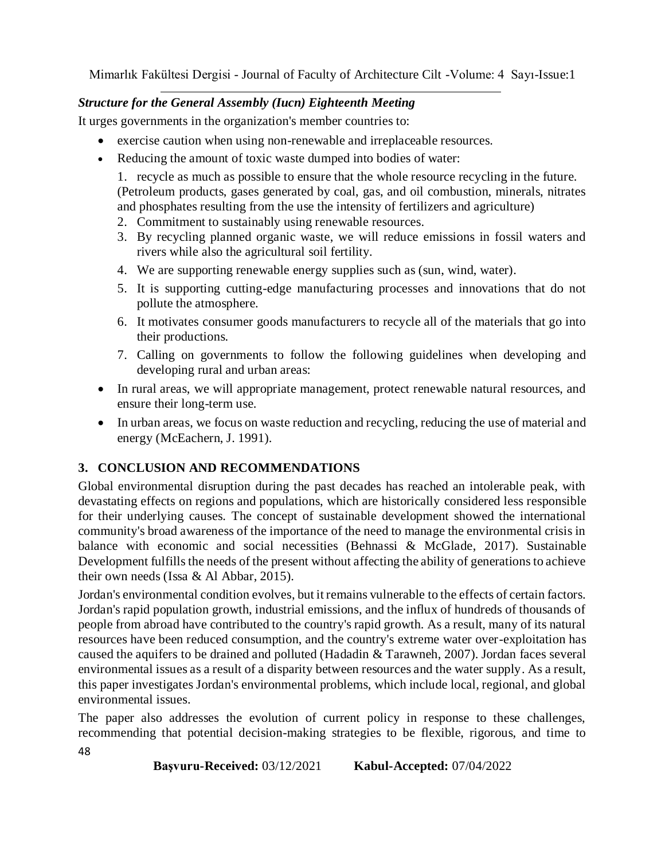## *Structure for the General Assembly (Iucn) Eighteenth Meeting*

It urges governments in the organization's member countries to:

- exercise caution when using non-renewable and irreplaceable resources.
- Reducing the amount of toxic waste dumped into bodies of water:

1. recycle as much as possible to ensure that the whole resource recycling in the future. (Petroleum products, gases generated by coal, gas, and oil combustion, minerals, nitrates and phosphates resulting from the use the intensity of fertilizers and agriculture)

- 2. Commitment to sustainably using renewable resources.
- 3. By recycling planned organic waste, we will reduce emissions in fossil waters and rivers while also the agricultural soil fertility.
- 4. We are supporting renewable energy supplies such as (sun, wind, water).
- 5. It is supporting cutting-edge manufacturing processes and innovations that do not pollute the atmosphere.
- 6. It motivates consumer goods manufacturers to recycle all of the materials that go into their productions.
- 7. Calling on governments to follow the following guidelines when developing and developing rural and urban areas:
- In rural areas, we will appropriate management, protect renewable natural resources, and ensure their long-term use.
- In urban areas, we focus on waste reduction and recycling, reducing the use of material and energy (McEachern, J. 1991).

# **3. CONCLUSION AND RECOMMENDATIONS**

Global environmental disruption during the past decades has reached an intolerable peak, with devastating effects on regions and populations, which are historically considered less responsible for their underlying causes. The concept of sustainable development showed the international community's broad awareness of the importance of the need to manage the environmental crisis in balance with economic and social necessities (Behnassi & McGlade, 2017). Sustainable Development fulfills the needs of the present without affecting the ability of generations to achieve their own needs (Issa & Al Abbar, 2015).

Jordan's environmental condition evolves, but it remains vulnerable to the effects of certain factors. Jordan's rapid population growth, industrial emissions, and the influx of hundreds of thousands of people from abroad have contributed to the country's rapid growth. As a result, many of its natural resources have been reduced consumption, and the country's extreme water over-exploitation has caused the aquifers to be drained and polluted (Hadadin & Tarawneh, 2007). Jordan faces several environmental issues as a result of a disparity between resources and the water supply. As a result, this paper investigates Jordan's environmental problems, which include local, regional, and global environmental issues.

The paper also addresses the evolution of current policy in response to these challenges, recommending that potential decision-making strategies to be flexible, rigorous, and time to

```
Başvuru-Received: 03/12/2021 Kabul-Accepted: 07/04/2022
```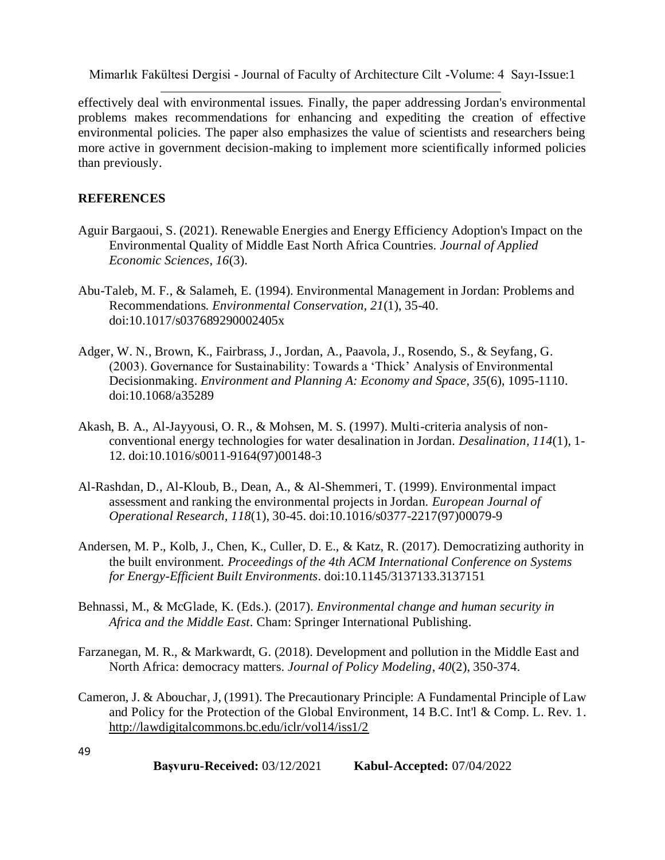effectively deal with environmental issues. Finally, the paper addressing Jordan's environmental problems makes recommendations for enhancing and expediting the creation of effective environmental policies. The paper also emphasizes the value of scientists and researchers being more active in government decision-making to implement more scientifically informed policies than previously.

#### **REFERENCES**

- Aguir Bargaoui, S. (2021). Renewable Energies and Energy Efficiency Adoption's Impact on the Environmental Quality of Middle East North Africa Countries. *Journal of Applied Economic Sciences*, *16*(3).
- Abu-Taleb, M. F., & Salameh, E. (1994). Environmental Management in Jordan: Problems and Recommendations. *Environmental Conservation, 21*(1), 35-40. doi:10.1017/s037689290002405x
- Adger, W. N., Brown, K., Fairbrass, J., Jordan, A., Paavola, J., Rosendo, S., & Seyfang, G. (2003). Governance for Sustainability: Towards a 'Thick' Analysis of Environmental Decisionmaking. *Environment and Planning A: Economy and Space, 35*(6), 1095-1110. doi:10.1068/a35289
- Akash, B. A., Al-Jayyousi, O. R., & Mohsen, M. S. (1997). Multi-criteria analysis of nonconventional energy technologies for water desalination in Jordan. *Desalination, 114*(1), 1- 12. doi:10.1016/s0011-9164(97)00148-3
- Al-Rashdan, D., Al-Kloub, B., Dean, A., & Al-Shemmeri, T. (1999). Environmental impact assessment and ranking the environmental projects in Jordan. *European Journal of Operational Research, 118*(1), 30-45. doi:10.1016/s0377-2217(97)00079-9
- Andersen, M. P., Kolb, J., Chen, K., Culler, D. E., & Katz, R. (2017). Democratizing authority in the built environment. *Proceedings of the 4th ACM International Conference on Systems for Energy-Efficient Built Environments*. doi:10.1145/3137133.3137151
- Behnassi, M., & McGlade, K. (Eds.). (2017). *Environmental change and human security in Africa and the Middle East*. Cham: Springer International Publishing.
- Farzanegan, M. R., & Markwardt, G. (2018). Development and pollution in the Middle East and North Africa: democracy matters. *Journal of Policy Modeling*, *40*(2), 350-374.
- Cameron, J. & Abouchar, J, (1991). The Precautionary Principle: A Fundamental Principle of Law and Policy for the Protection of the Global Environment, 14 B.C. Int'l & Comp. L. Rev. 1. <http://lawdigitalcommons.bc.edu/iclr/vol14/iss1/2>

49